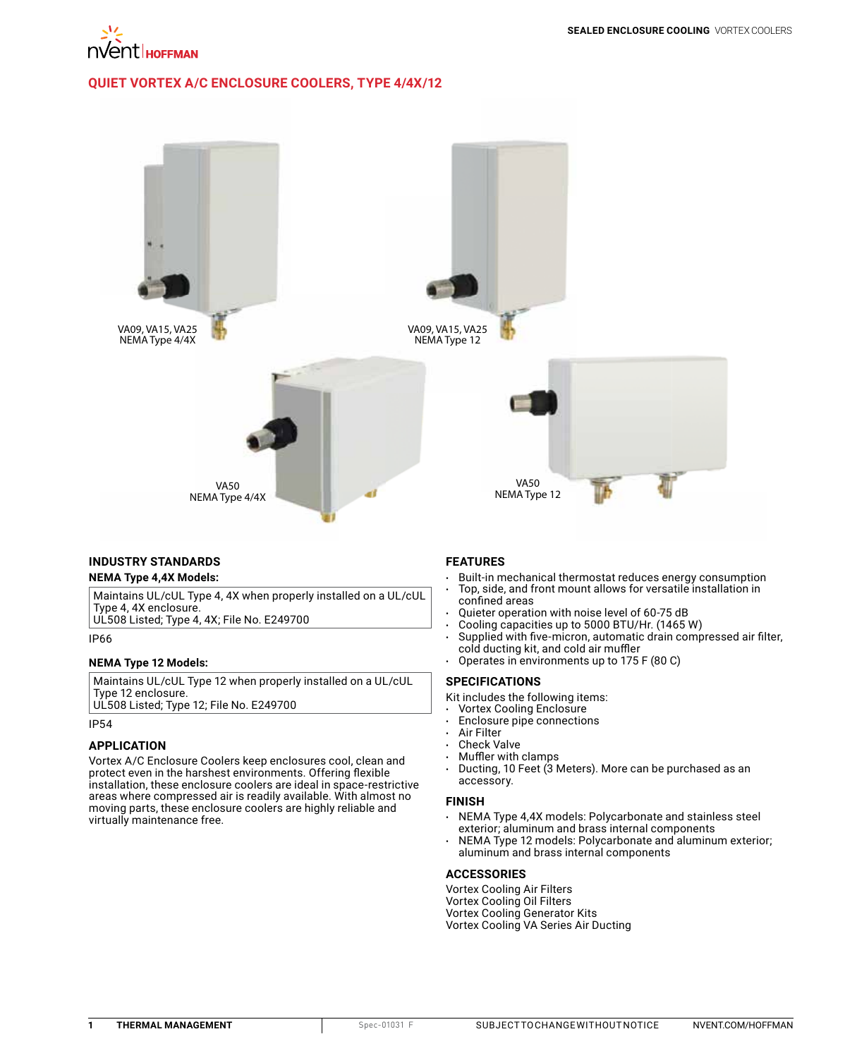

## **QUIET VORTEX A/C ENCLOSURE [COOLERS, TYPE 4/4X/12](http://hoffman.nvent.com/en/hoffman/Quiet-Vortex-A-C-Enclosure-Coolers-Type-4-4X-12)**



### **INDUSTRY STANDARDS NEMA Type 4,4X Models:**

Maintains UL/cUL Type 4, 4X when properly installed on a UL/cUL Type 4, 4X enclosure.

UL508 Listed; Type 4, 4X; File No. E249700

IP66

## **NEMA Type 12 Models:**

Maintains UL/cUL Type 12 when properly installed on a UL/cUL Type 12 enclosure.

UL508 Listed; Type 12; File No. E249700

# IP54

#### **APPLICATION**

Vortex A/C Enclosure Coolers keep enclosures cool, clean and protect even in the harshest environments. Offering flexible installation, these enclosure coolers are ideal in space-restrictive areas where compressed air is readily available. With almost no moving parts, these enclosure coolers are highly reliable and virtually maintenance free.

## **FEATURES**

- Built-in mechanical thermostat reduces energy consumption • Top, side, and front mount allows for versatile installation in confined areas
- Quieter operation with noise level of 60-75 dB
- Cooling capacities up to 5000 BTU/Hr. (1465 W)
- Supplied with five-micron, automatic drain compressed air filter, cold ducting kit, and cold air muffler
- Operates in environments up to 175 F (80 C)

#### **SPECIFICATIONS**

- Kit includes the following items:
- Vortex Cooling Enclosure
- Enclosure pipe connections
- **Air Filter**
- Check Valve
- Muffler with clamps
- Ducting, 10 Feet (3 Meters). More can be purchased as an accessory.

#### **FINISH**

- NEMA Type 4,4X models: Polycarbonate and stainless steel exterior; aluminum and brass internal components
- NEMA Type 12 models: Polycarbonate and aluminum exterior; aluminum and brass internal components

#### **ACCESSORIES**

Vortex Cooling Air Filters Vortex Cooling Oil Filters Vortex Cooling Generator Kits Vortex Cooling VA Series Air Ducting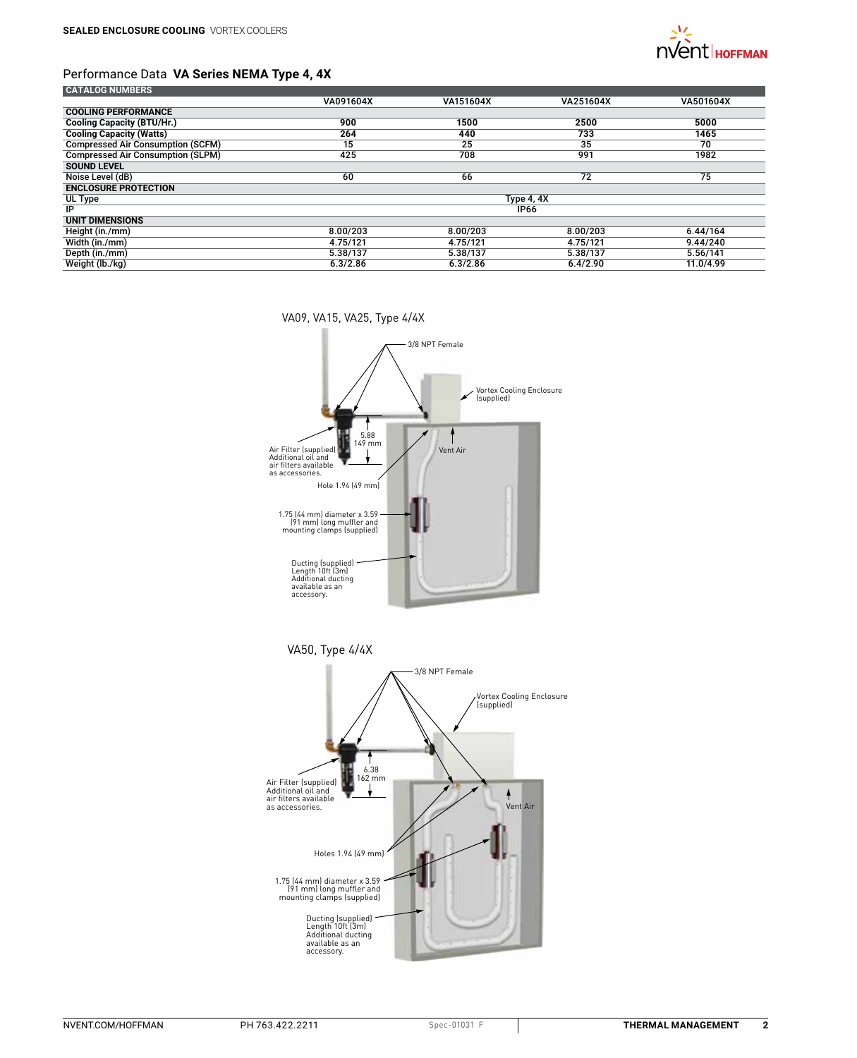

## Performance Data **VA Series NEMA Type 4, 4X**

| <b>CATALOG NUMBERS</b>                   |             |           |           |           |
|------------------------------------------|-------------|-----------|-----------|-----------|
|                                          | VA091604X   | VA151604X | VA251604X | VA501604X |
| <b>COOLING PERFORMANCE</b>               |             |           |           |           |
| <b>Cooling Capacity (BTU/Hr.)</b>        | 900         | 1500      | 2500      | 5000      |
| <b>Cooling Capacity (Watts)</b>          | 264         | 440       | 733       | 1465      |
| <b>Compressed Air Consumption (SCFM)</b> | 15          | 25        | 35        | 70        |
| <b>Compressed Air Consumption (SLPM)</b> | 425         | 708       | 991       | 1982      |
| <b>SOUND LEVEL</b>                       |             |           |           |           |
| Noise Level (dB)                         | 60          | 66        | 72        | 75        |
| <b>ENCLOSURE PROTECTION</b>              |             |           |           |           |
| UL Type                                  | Type 4, 4X  |           |           |           |
| IP                                       | <b>IP66</b> |           |           |           |
| <b>UNIT DIMENSIONS</b>                   |             |           |           |           |
| Height (in./mm)                          | 8.00/203    | 8.00/203  | 8.00/203  | 6.44/164  |
| Width (in./mm)                           | 4.75/121    | 4.75/121  | 4.75/121  | 9.44/240  |
| Depth (in./mm)                           | 5.38/137    | 5.38/137  | 5.38/137  | 5.56/141  |
| Weight (lb./kg)                          | 6.3/2.86    | 6.3/2.86  | 6.4/2.90  | 11.0/4.99 |
|                                          |             |           |           |           |

VA09, VA15, VA25, Type 4/4X



VA50, Type 4/4X

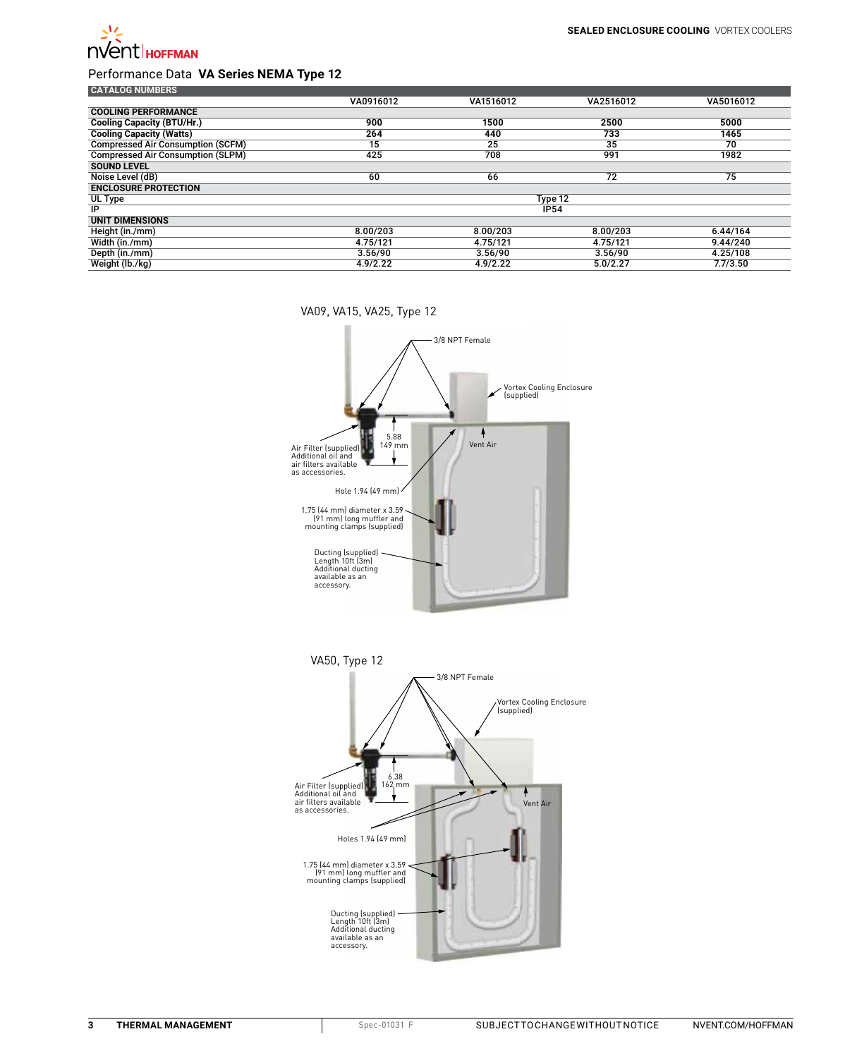

# Performance Data **VA Series NEMA Type 12**

| <b>CATALOG NUMBERS</b>                   |             |           |           |           |
|------------------------------------------|-------------|-----------|-----------|-----------|
|                                          | VA0916012   | VA1516012 | VA2516012 | VA5016012 |
| <b>COOLING PERFORMANCE</b>               |             |           |           |           |
| <b>Cooling Capacity (BTU/Hr.)</b>        | 900         | 1500      | 2500      | 5000      |
| <b>Cooling Capacity (Watts)</b>          | 264         | 440       | 733       | 1465      |
| <b>Compressed Air Consumption (SCFM)</b> | 15          | 25        | 35        | 70        |
| <b>Compressed Air Consumption (SLPM)</b> | 425         | 708       | 991       | 1982      |
| <b>SOUND LEVEL</b>                       |             |           |           |           |
| Noise Level (dB)                         | 60          | 66        | 72        | 75        |
| <b>ENCLOSURE PROTECTION</b>              |             |           |           |           |
| UL Type                                  | Type 12     |           |           |           |
| IP                                       | <b>IP54</b> |           |           |           |
| <b>UNIT DIMENSIONS</b>                   |             |           |           |           |
| Height (in./mm)                          | 8.00/203    | 8.00/203  | 8.00/203  | 6.44/164  |
| Width (in./mm)                           | 4.75/121    | 4.75/121  | 4.75/121  | 9.44/240  |
| Depth (in./mm)                           | 3.56/90     | 3.56/90   | 3.56/90   | 4.25/108  |
| Weight (lb./kg)                          | 4.9/2.22    | 4.9/2.22  | 5.0/2.27  | 7.7/3.50  |

VA09, VA15, VA25, Type 12



Ducting (supplied) Length 10ft (3m) Additional ducting available as an accessory.